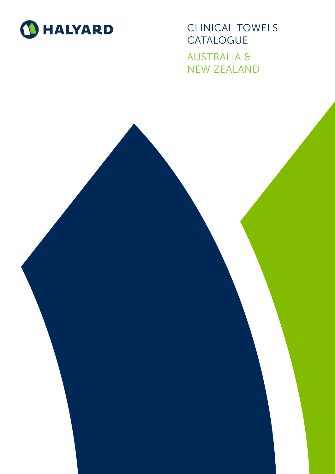

CLINICAL TOWELS **CATALOGUE** AUSTRALIA & NEW ZEALAND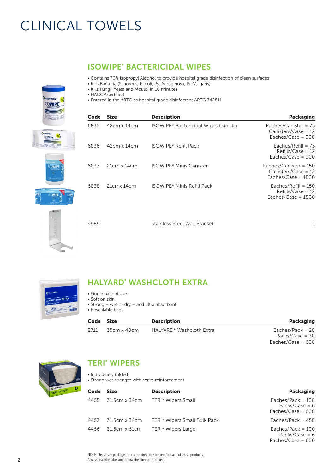# CLINICAL TOWELS



| Code | Size               | <b>Description</b>                          | <b>Packaging</b>                                                         |
|------|--------------------|---------------------------------------------|--------------------------------------------------------------------------|
| 6835 | $42cm \times 14cm$ | <b>ISOWIPE* Bactericidal Wipes Canister</b> | Eaches/Canister = $75$<br>Canisters/Case = $12$<br>Eaches/Case = $900$   |
| 6836 | $42cm \times 14cm$ | <b>ISOWIPE* Refill Pack</b>                 | Eaches/Refill = $75$<br>$Refills/Case = 12$<br>Eaches/Case = $900$       |
| 6837 | $21cm \times 14cm$ | <b>ISOWIPE* Minis Canister</b>              | Eaches/Canister = $150$<br>$Canisters/Case = 12$<br>Eaches/Case = $1800$ |
| 6838 | 21cmx14cm          | <b>ISOWIPE* Minis Refill Pack</b>           | Eaches/Refill = $150$<br>$Refills/Case = 12$<br>Eaches/Case = $1800$     |

4989 Stainless Steel Wall Bracket 1



| <b>O</b> HALYARD        |                 |
|-------------------------|-----------------|
|                         |                 |
| <b>WASHCLOTH EXTRA</b>  | <b>Hota</b> Hen |
| The Reusable Disposable |                 |

# HALYARD\* WASHCLOTH EXTRA

ISOWIPE\* BACTERICIDAL WIPES

• Kills Bacteria (S. aureus, E. coli, Ps. Aeruginosa, Pr. Vulgaris)

• Kills Fungi (Yeast and Mould) in 10 minutes

• Contains 70% Isopropyl Alcohol to provide hospital grade disinfection of clean surfaces

- Single patient use
- Soft on skin
- Strong wet or dry and ultra absorbent
- Resealable bags

| Code | Size        | <b>Description</b>       | Packaging          |
|------|-------------|--------------------------|--------------------|
| 2711 | 35cm x 40cm | HALYARD* Washcloth Extra | Eaches/Pack = $20$ |
|      |             |                          | Packs/Case = $30$  |

Eaches/Case = 600



### TERI\* WIPERS

- Individually folded
- Strong wet strength with scrim reinforcement

| Code | <b>Size</b>   | <b>Description</b>           | <b>Packaging</b>                                               |
|------|---------------|------------------------------|----------------------------------------------------------------|
| 4465 | 31.5cm x 34cm | TERI* Wipers Small           | Eaches/Pack = $100$<br>Packs/Case = $6$<br>Eaches/Case = $600$ |
| 4467 | 31.5cm x 34cm | TERI* Wipers Small Bulk Pack | Eaches/Pack = $450$                                            |
| 4466 | 31.5cm x 61cm | TERI* Wipers Large           | Eaches/Pack = $100$<br>Packs/Case = $6$<br>Eaches/Case = $600$ |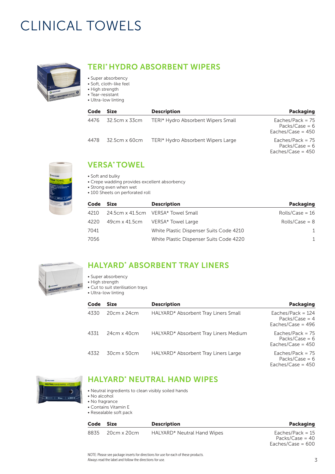# CLINICAL TOWELS



# TERI\* HYDRO ABSORBENT WIPERS

- Super absorbency
- Soft, cloth-like feel
- High strength • Tear-resistant
- Ultra-low linting

| Code | <b>Size</b>        | <b>Description</b>                 | <b>Packaging</b>                                              |
|------|--------------------|------------------------------------|---------------------------------------------------------------|
|      | 4476 32.5cm x 33cm | TERI* Hydro Absorbent Wipers Small | Eaches/Pack = $75$<br>Packs/Case = $6$<br>Eaches/Case = $450$ |
| 4478 | 32.5cm x 60cm      | TERI* Hydro Absorbent Wipers Large | Eaches/Pack = $75$<br>Packs/Case = $6$<br>Eaches/Case = $450$ |



## VERSA\* TOWEL

- Soft and bulky
- Crepe wadding provides excellent absorbency
- Strong even when wet
- 100 Sheets on perforated roll

| Code | <b>Size</b> | <b>Description</b>                      | <b>Packaging</b>  |
|------|-------------|-----------------------------------------|-------------------|
| 4210 |             | 24.5cm x 41.5cm VERSA* Towel Small      | Rolls/Case = $16$ |
| 4220 |             | 49cm x 41.5cm VERSA* Towel Large        | $Rolls/Case = 8$  |
| 7041 |             | White Plastic Dispenser Suits Code 4210 | 1                 |
| 7056 |             | White Plastic Dispenser Suits Code 4220 |                   |



# HALYARD\* ABSORBENT TRAY LINERS

- Super absorbency
- High strength
- Cut to suit sterilisation trays • Ultra-low linting

| Code | <b>Size</b>        | <b>Description</b>                    | <b>Packaging</b>                                               |
|------|--------------------|---------------------------------------|----------------------------------------------------------------|
| 4330 | 20cm x 24cm        | HALYARD* Absorbent Tray Liners Small  | Eaches/Pack = $124$<br>Packs/Case = $4$<br>Eaches/Case = $496$ |
| 4331 | $24cm \times 40cm$ | HALYARD* Absorbent Tray Liners Medium | Eaches/Pack = $75$<br>Packs/Case = $6$<br>Eaches/Case = $450$  |
| 4332 | 30cm x 50cm        | HALYARD* Absorbent Tray Liners Large  | Eaches/Pack = $75$<br>Packs/Case = $6$<br>Eaches/Case = $450$  |



## HALYARD\* NEUTRAL HAND WIPES

- Neutral ingredients to clean visibly soiled hands
- No alcohol
- No fragrance • Contains Vitamin E
- Resealable soft pack

| Code Size |                  | <b>Description</b>          | Packaging          |
|-----------|------------------|-----------------------------|--------------------|
|           | 8835 20cm x 20cm | HALYARD* Neutral Hand Wipes | Eaches/Pack = $15$ |
|           |                  |                             | Packs/Case = $40$  |

NOTE: Please see package inserts for directions for use for each of these products. Always read the label and follow the directions for use.

Eaches/Case = 600